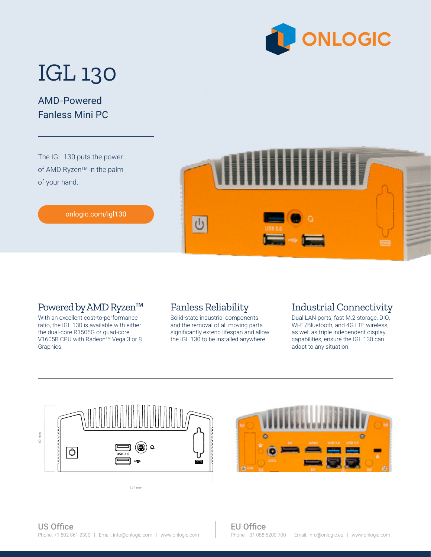

# IGL 130

## AMD-Powered Fanless Mini PC

The IGL 130 puts the power of AMD Ryzen™ in the palm of your hand.



#### [onlogic.com/igl130](https://www.onlogic.com/igl130/)

### Powered by AMD Ryzen™

With an excellent cost-to-performance ratio, the IGL 130 is available with either the dual-core R1505G or quad-core V1605B CPU with Radeon<sup>™</sup> Vega 3 or 8 Graphics.

### Fanless Reliability

Solid-state industrial components and the removal of all moving parts significantly extend lifespan and allow the IGL 130 to be installed anywhere.

#### Industrial Connectivity

Dual LAN ports, fast M.2 storage, DIO, Wi-Fi/Bluetooth, and 4G LTE wireless, as well as triple independent display capabilities, ensure the IGL 130 can adapt to any situation.



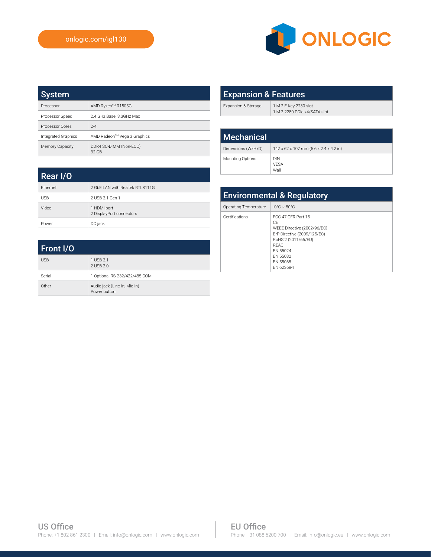

| <b>System</b>              |                                 |
|----------------------------|---------------------------------|
| Processor                  | AMD Ryzen™ R1505G               |
| Processor Speed            | 2.4 GHz Base, 3.3GHz Max        |
| Processor Cores            | $2 - 4$                         |
| <b>Integrated Graphics</b> | AMD Radeon™ Vega 3 Graphics     |
| Memory Capacity            | DDR4 SO-DIMM (Non-ECC)<br>32 GB |

| <b>Expansion &amp; Features</b> |                                                       |
|---------------------------------|-------------------------------------------------------|
| Expansion & Storage             | 1 M.2 E Key 2230 slot<br>1 M.2 2280 PCIe x4/SATA slot |
|                                 |                                                       |
| <b>Mechanical</b>               |                                                       |

Dimensions (WxHxD) 142 x 62 x 107 mm (5.6 x 2.4 x 4.2 in)

VESA Wall

Mounting Options DIN

| Rear I/O   |                                         |
|------------|-----------------------------------------|
| Ethernet   | 2 GbE LAN with Realtek RTL8111G         |
| <b>USB</b> | 2 USB 3.1 Gen 1                         |
| Video      | 1 HDMI port<br>2 DisplayPort connectors |
| Power      | DC jack                                 |

| Front I/O  |                                              |
|------------|----------------------------------------------|
| <b>USB</b> | 1 USB 3.1<br>2 USB 2.0                       |
| Serial     | 1 Optional RS-232/422/485 COM                |
| Other      | Audio jack (Line-In; Mic-In)<br>Power button |

| <b>Environmental &amp; Regulatory</b> |                                                                                                                                                                          |
|---------------------------------------|--------------------------------------------------------------------------------------------------------------------------------------------------------------------------|
| Operating Temperature                 | $-0^{\circ}$ C $\sim$ 50 $^{\circ}$ C                                                                                                                                    |
| Certifications                        | FCC 47 CFR Part 15<br>CF<br>WEEE Directive (2002/96/EC)<br>ErP Directive (2009/125/EC)<br>RoHS 2 (2011/65/EU)<br>RFACH<br>FN 55024<br>FN 55032<br>FN 55035<br>FN 62368-1 |